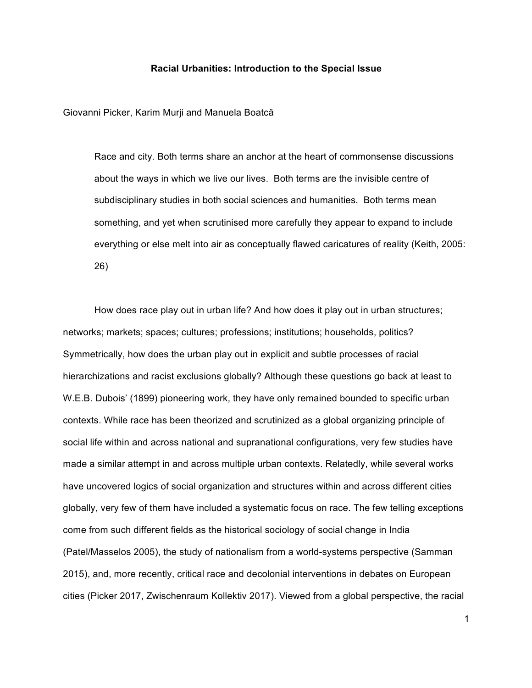#### **Racial Urbanities: Introduction to the Special Issue**

Giovanni Picker, Karim Murji and Manuela Boatcă

Race and city. Both terms share an anchor at the heart of commonsense discussions about the ways in which we live our lives. Both terms are the invisible centre of subdisciplinary studies in both social sciences and humanities. Both terms mean something, and yet when scrutinised more carefully they appear to expand to include everything or else melt into air as conceptually flawed caricatures of reality (Keith, 2005: 26)

How does race play out in urban life? And how does it play out in urban structures; networks; markets; spaces; cultures; professions; institutions; households, politics? Symmetrically, how does the urban play out in explicit and subtle processes of racial hierarchizations and racist exclusions globally? Although these questions go back at least to W.E.B. Dubois' (1899) pioneering work, they have only remained bounded to specific urban contexts. While race has been theorized and scrutinized as a global organizing principle of social life within and across national and supranational configurations, very few studies have made a similar attempt in and across multiple urban contexts. Relatedly, while several works have uncovered logics of social organization and structures within and across different cities globally, very few of them have included a systematic focus on race. The few telling exceptions come from such different fields as the historical sociology of social change in India (Patel/Masselos 2005), the study of nationalism from a world-systems perspective (Samman 2015), and, more recently, critical race and decolonial interventions in debates on European cities (Picker 2017, Zwischenraum Kollektiv 2017). Viewed from a global perspective, the racial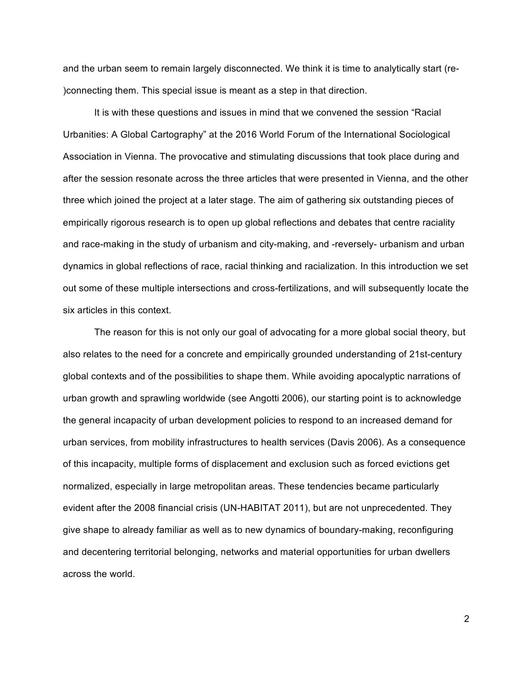and the urban seem to remain largely disconnected. We think it is time to analytically start (re- )connecting them. This special issue is meant as a step in that direction.

It is with these questions and issues in mind that we convened the session "Racial Urbanities: A Global Cartography" at the 2016 World Forum of the International Sociological Association in Vienna. The provocative and stimulating discussions that took place during and after the session resonate across the three articles that were presented in Vienna, and the other three which joined the project at a later stage. The aim of gathering six outstanding pieces of empirically rigorous research is to open up global reflections and debates that centre raciality and race-making in the study of urbanism and city-making, and -reversely- urbanism and urban dynamics in global reflections of race, racial thinking and racialization. In this introduction we set out some of these multiple intersections and cross-fertilizations, and will subsequently locate the six articles in this context.

The reason for this is not only our goal of advocating for a more global social theory, but also relates to the need for a concrete and empirically grounded understanding of 21st-century global contexts and of the possibilities to shape them. While avoiding apocalyptic narrations of urban growth and sprawling worldwide (see Angotti 2006), our starting point is to acknowledge the general incapacity of urban development policies to respond to an increased demand for urban services, from mobility infrastructures to health services (Davis 2006). As a consequence of this incapacity, multiple forms of displacement and exclusion such as forced evictions get normalized, especially in large metropolitan areas. These tendencies became particularly evident after the 2008 financial crisis (UN-HABITAT 2011), but are not unprecedented. They give shape to already familiar as well as to new dynamics of boundary-making, reconfiguring and decentering territorial belonging, networks and material opportunities for urban dwellers across the world.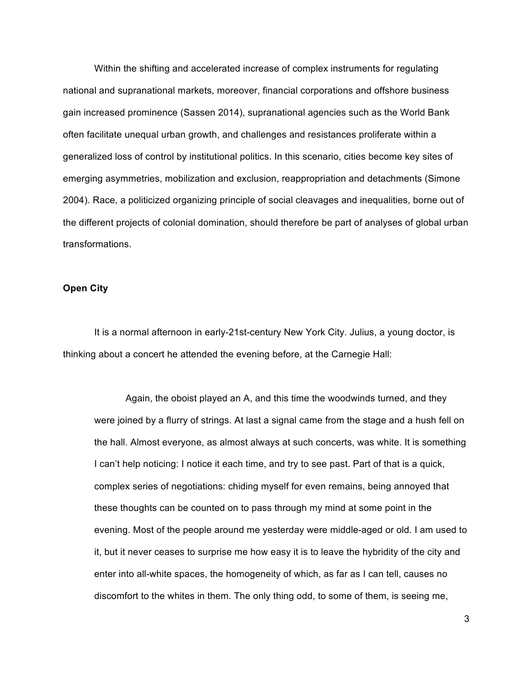Within the shifting and accelerated increase of complex instruments for regulating national and supranational markets, moreover, financial corporations and offshore business gain increased prominence (Sassen 2014), supranational agencies such as the World Bank often facilitate unequal urban growth, and challenges and resistances proliferate within a generalized loss of control by institutional politics. In this scenario, cities become key sites of emerging asymmetries, mobilization and exclusion, reappropriation and detachments (Simone 2004). Race, a politicized organizing principle of social cleavages and inequalities, borne out of the different projects of colonial domination, should therefore be part of analyses of global urban transformations.

## **Open City**

It is a normal afternoon in early-21st-century New York City. Julius, a young doctor, is thinking about a concert he attended the evening before, at the Carnegie Hall:

Again, the oboist played an A, and this time the woodwinds turned, and they were joined by a flurry of strings. At last a signal came from the stage and a hush fell on the hall. Almost everyone, as almost always at such concerts, was white. It is something I can't help noticing: I notice it each time, and try to see past. Part of that is a quick, complex series of negotiations: chiding myself for even remains, being annoyed that these thoughts can be counted on to pass through my mind at some point in the evening. Most of the people around me yesterday were middle-aged or old. I am used to it, but it never ceases to surprise me how easy it is to leave the hybridity of the city and enter into all-white spaces, the homogeneity of which, as far as I can tell, causes no discomfort to the whites in them. The only thing odd, to some of them, is seeing me,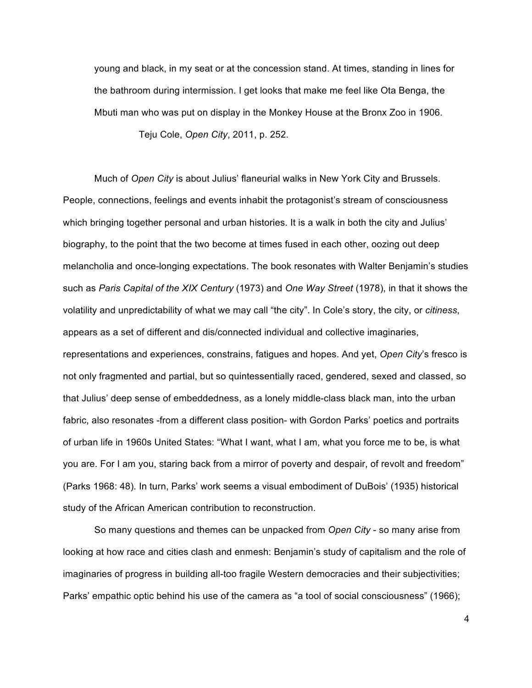young and black, in my seat or at the concession stand. At times, standing in lines for the bathroom during intermission. I get looks that make me feel like Ota Benga, the Mbuti man who was put on display in the Monkey House at the Bronx Zoo in 1906.

Teju Cole, *Open City*, 2011, p. 252.

Much of *Open City* is about Julius' flaneurial walks in New York City and Brussels. People, connections, feelings and events inhabit the protagonist's stream of consciousness which bringing together personal and urban histories. It is a walk in both the city and Julius' biography, to the point that the two become at times fused in each other, oozing out deep melancholia and once-longing expectations. The book resonates with Walter Benjamin's studies such as *Paris Capital of the XIX Century* (1973) and *One Way Street* (1978), in that it shows the volatility and unpredictability of what we may call "the city". In Cole's story, the city, or *citiness*, appears as a set of different and dis/connected individual and collective imaginaries, representations and experiences, constrains, fatigues and hopes. And yet, *Open City*'s fresco is not only fragmented and partial, but so quintessentially raced, gendered, sexed and classed, so that Julius' deep sense of embeddedness, as a lonely middle-class black man, into the urban fabric, also resonates -from a different class position- with Gordon Parks' poetics and portraits of urban life in 1960s United States: "What I want, what I am, what you force me to be, is what you are. For I am you, staring back from a mirror of poverty and despair, of revolt and freedom" (Parks 1968: 48). In turn, Parks' work seems a visual embodiment of DuBois' (1935) historical study of the African American contribution to reconstruction.

So many questions and themes can be unpacked from *Open City* - so many arise from looking at how race and cities clash and enmesh: Benjamin's study of capitalism and the role of imaginaries of progress in building all-too fragile Western democracies and their subjectivities; Parks' empathic optic behind his use of the camera as "a tool of social consciousness" (1966);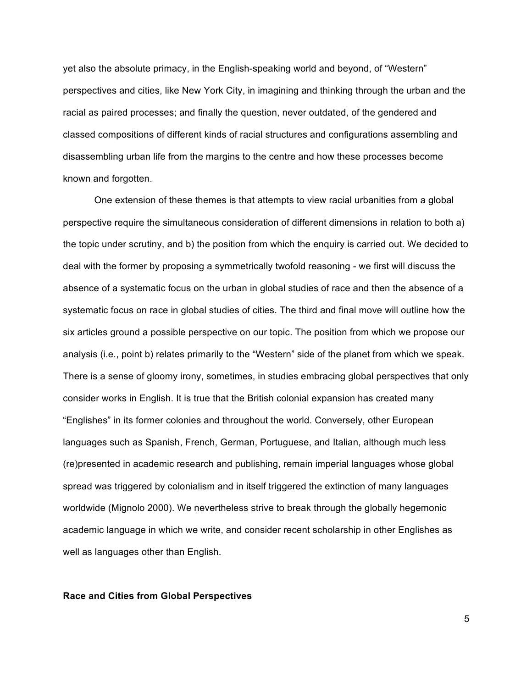yet also the absolute primacy, in the English-speaking world and beyond, of "Western" perspectives and cities, like New York City, in imagining and thinking through the urban and the racial as paired processes; and finally the question, never outdated, of the gendered and classed compositions of different kinds of racial structures and configurations assembling and disassembling urban life from the margins to the centre and how these processes become known and forgotten.

One extension of these themes is that attempts to view racial urbanities from a global perspective require the simultaneous consideration of different dimensions in relation to both a) the topic under scrutiny, and b) the position from which the enquiry is carried out. We decided to deal with the former by proposing a symmetrically twofold reasoning - we first will discuss the absence of a systematic focus on the urban in global studies of race and then the absence of a systematic focus on race in global studies of cities. The third and final move will outline how the six articles ground a possible perspective on our topic. The position from which we propose our analysis (i.e., point b) relates primarily to the "Western" side of the planet from which we speak. There is a sense of gloomy irony, sometimes, in studies embracing global perspectives that only consider works in English. It is true that the British colonial expansion has created many "Englishes" in its former colonies and throughout the world. Conversely, other European languages such as Spanish, French, German, Portuguese, and Italian, although much less (re)presented in academic research and publishing, remain imperial languages whose global spread was triggered by colonialism and in itself triggered the extinction of many languages worldwide (Mignolo 2000). We nevertheless strive to break through the globally hegemonic academic language in which we write, and consider recent scholarship in other Englishes as well as languages other than English.

#### **Race and Cities from Global Perspectives**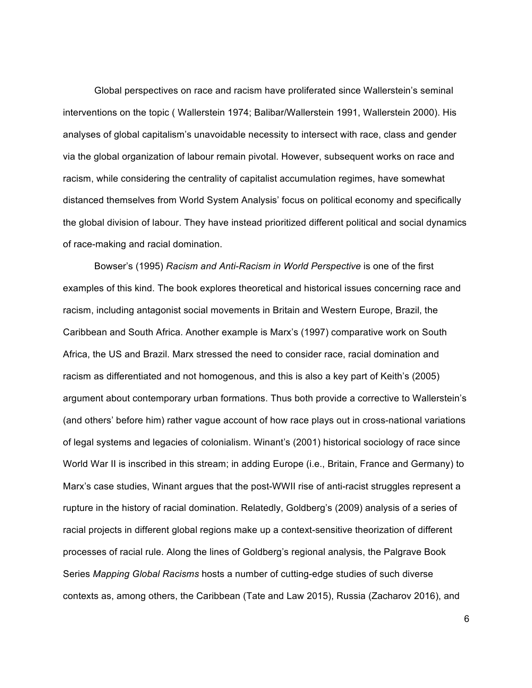Global perspectives on race and racism have proliferated since Wallerstein's seminal interventions on the topic ( Wallerstein 1974; Balibar/Wallerstein 1991, Wallerstein 2000). His analyses of global capitalism's unavoidable necessity to intersect with race, class and gender via the global organization of labour remain pivotal. However, subsequent works on race and racism, while considering the centrality of capitalist accumulation regimes, have somewhat distanced themselves from World System Analysis' focus on political economy and specifically the global division of labour. They have instead prioritized different political and social dynamics of race-making and racial domination.

Bowser's (1995) *Racism and Anti-Racism in World Perspective* is one of the first examples of this kind. The book explores theoretical and historical issues concerning race and racism, including antagonist social movements in Britain and Western Europe, Brazil, the Caribbean and South Africa. Another example is Marx's (1997) comparative work on South Africa, the US and Brazil. Marx stressed the need to consider race, racial domination and racism as differentiated and not homogenous, and this is also a key part of Keith's (2005) argument about contemporary urban formations. Thus both provide a corrective to Wallerstein's (and others' before him) rather vague account of how race plays out in cross-national variations of legal systems and legacies of colonialism. Winant's (2001) historical sociology of race since World War II is inscribed in this stream; in adding Europe (i.e., Britain, France and Germany) to Marx's case studies, Winant argues that the post-WWII rise of anti-racist struggles represent a rupture in the history of racial domination. Relatedly, Goldberg's (2009) analysis of a series of racial projects in different global regions make up a context-sensitive theorization of different processes of racial rule. Along the lines of Goldberg's regional analysis, the Palgrave Book Series *Mapping Global Racisms* hosts a number of cutting-edge studies of such diverse contexts as, among others, the Caribbean (Tate and Law 2015), Russia (Zacharov 2016), and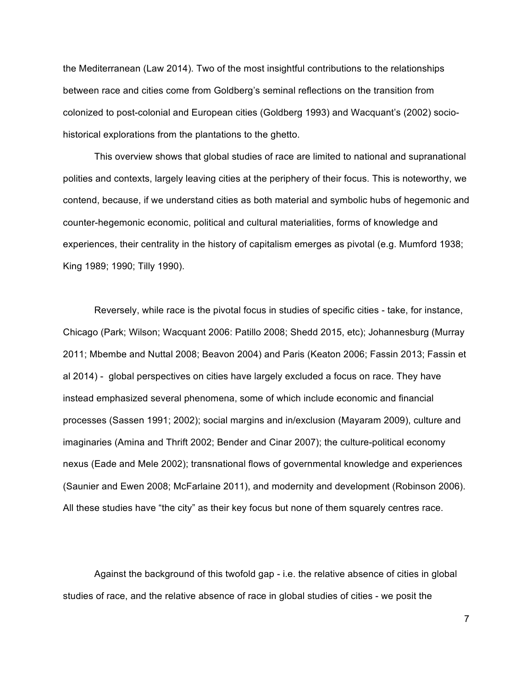the Mediterranean (Law 2014). Two of the most insightful contributions to the relationships between race and cities come from Goldberg's seminal reflections on the transition from colonized to post-colonial and European cities (Goldberg 1993) and Wacquant's (2002) sociohistorical explorations from the plantations to the ghetto.

This overview shows that global studies of race are limited to national and supranational polities and contexts, largely leaving cities at the periphery of their focus. This is noteworthy, we contend, because, if we understand cities as both material and symbolic hubs of hegemonic and counter-hegemonic economic, political and cultural materialities, forms of knowledge and experiences, their centrality in the history of capitalism emerges as pivotal (e.g. Mumford 1938; King 1989; 1990; Tilly 1990).

Reversely, while race is the pivotal focus in studies of specific cities - take, for instance, Chicago (Park; Wilson; Wacquant 2006: Patillo 2008; Shedd 2015, etc); Johannesburg (Murray 2011; Mbembe and Nuttal 2008; Beavon 2004) and Paris (Keaton 2006; Fassin 2013; Fassin et al 2014) - global perspectives on cities have largely excluded a focus on race. They have instead emphasized several phenomena, some of which include economic and financial processes (Sassen 1991; 2002); social margins and in/exclusion (Mayaram 2009), culture and imaginaries (Amina and Thrift 2002; Bender and Cinar 2007); the culture-political economy nexus (Eade and Mele 2002); transnational flows of governmental knowledge and experiences (Saunier and Ewen 2008; McFarlaine 2011), and modernity and development (Robinson 2006). All these studies have "the city" as their key focus but none of them squarely centres race.

Against the background of this twofold gap - i.e. the relative absence of cities in global studies of race, and the relative absence of race in global studies of cities - we posit the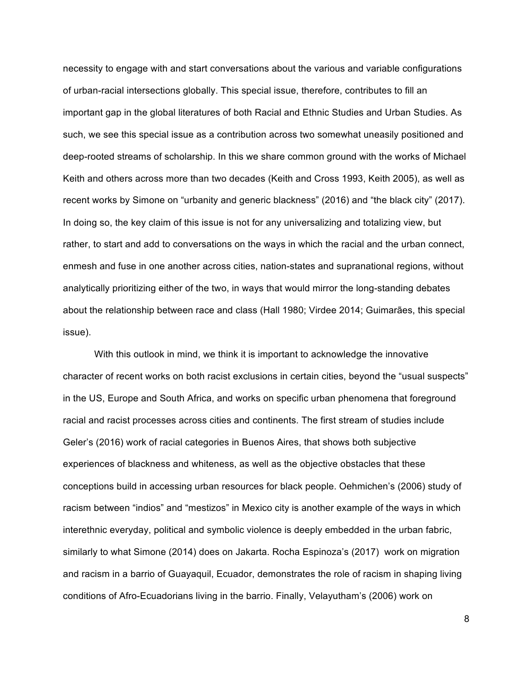necessity to engage with and start conversations about the various and variable configurations of urban-racial intersections globally. This special issue, therefore, contributes to fill an important gap in the global literatures of both Racial and Ethnic Studies and Urban Studies. As such, we see this special issue as a contribution across two somewhat uneasily positioned and deep-rooted streams of scholarship. In this we share common ground with the works of Michael Keith and others across more than two decades (Keith and Cross 1993, Keith 2005), as well as recent works by Simone on "urbanity and generic blackness" (2016) and "the black city" (2017). In doing so, the key claim of this issue is not for any universalizing and totalizing view, but rather, to start and add to conversations on the ways in which the racial and the urban connect, enmesh and fuse in one another across cities, nation-states and supranational regions, without analytically prioritizing either of the two, in ways that would mirror the long-standing debates about the relationship between race and class (Hall 1980; Virdee 2014; Guimarães, this special issue).

With this outlook in mind, we think it is important to acknowledge the innovative character of recent works on both racist exclusions in certain cities, beyond the "usual suspects" in the US, Europe and South Africa, and works on specific urban phenomena that foreground racial and racist processes across cities and continents. The first stream of studies include Geler's (2016) work of racial categories in Buenos Aires, that shows both subjective experiences of blackness and whiteness, as well as the objective obstacles that these conceptions build in accessing urban resources for black people. Oehmichen's (2006) study of racism between "indios" and "mestizos" in Mexico city is another example of the ways in which interethnic everyday, political and symbolic violence is deeply embedded in the urban fabric, similarly to what Simone (2014) does on Jakarta. Rocha Espinoza's (2017) work on migration and racism in a barrio of Guayaquil, Ecuador, demonstrates the role of racism in shaping living conditions of Afro-Ecuadorians living in the barrio. Finally, Velayutham's (2006) work on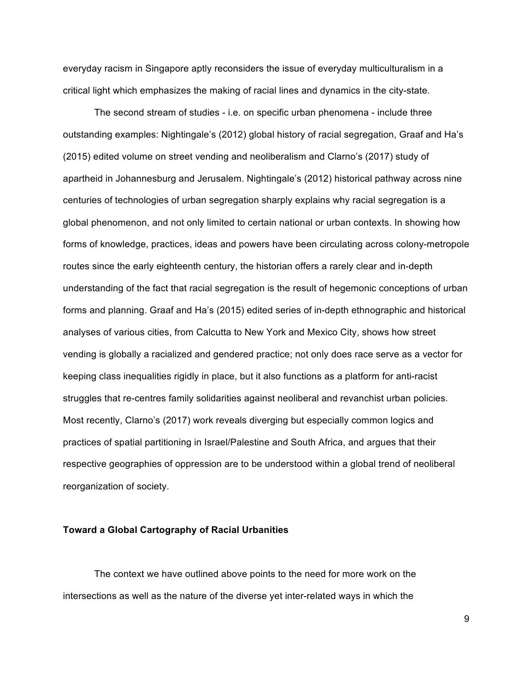everyday racism in Singapore aptly reconsiders the issue of everyday multiculturalism in a critical light which emphasizes the making of racial lines and dynamics in the city-state.

The second stream of studies - i.e. on specific urban phenomena - include three outstanding examples: Nightingale's (2012) global history of racial segregation, Graaf and Ha's (2015) edited volume on street vending and neoliberalism and Clarno's (2017) study of apartheid in Johannesburg and Jerusalem. Nightingale's (2012) historical pathway across nine centuries of technologies of urban segregation sharply explains why racial segregation is a global phenomenon, and not only limited to certain national or urban contexts. In showing how forms of knowledge, practices, ideas and powers have been circulating across colony-metropole routes since the early eighteenth century, the historian offers a rarely clear and in-depth understanding of the fact that racial segregation is the result of hegemonic conceptions of urban forms and planning. Graaf and Ha's (2015) edited series of in-depth ethnographic and historical analyses of various cities, from Calcutta to New York and Mexico City, shows how street vending is globally a racialized and gendered practice; not only does race serve as a vector for keeping class inequalities rigidly in place, but it also functions as a platform for anti-racist struggles that re-centres family solidarities against neoliberal and revanchist urban policies. Most recently, Clarno's (2017) work reveals diverging but especially common logics and practices of spatial partitioning in Israel/Palestine and South Africa, and argues that their respective geographies of oppression are to be understood within a global trend of neoliberal reorganization of society.

### **Toward a Global Cartography of Racial Urbanities**

The context we have outlined above points to the need for more work on the intersections as well as the nature of the diverse yet inter-related ways in which the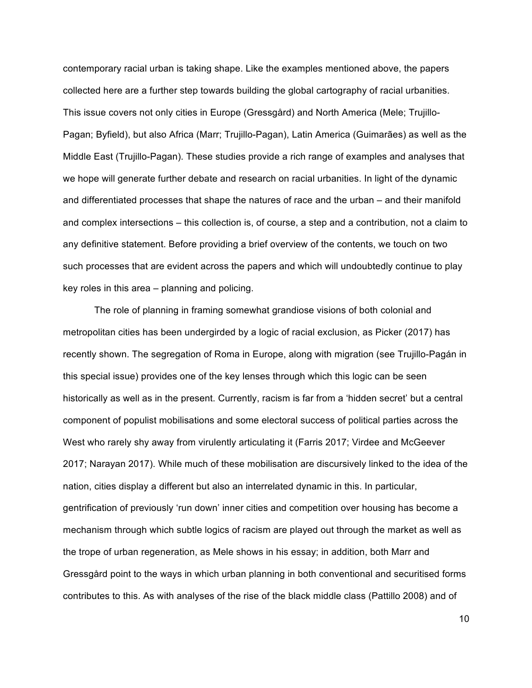contemporary racial urban is taking shape. Like the examples mentioned above, the papers collected here are a further step towards building the global cartography of racial urbanities. This issue covers not only cities in Europe (Gressgård) and North America (Mele; Trujillo-Pagan; Byfield), but also Africa (Marr; Trujillo-Pagan), Latin America (Guimarães) as well as the Middle East (Trujillo-Pagan). These studies provide a rich range of examples and analyses that we hope will generate further debate and research on racial urbanities. In light of the dynamic and differentiated processes that shape the natures of race and the urban – and their manifold and complex intersections – this collection is, of course, a step and a contribution, not a claim to any definitive statement. Before providing a brief overview of the contents, we touch on two such processes that are evident across the papers and which will undoubtedly continue to play key roles in this area – planning and policing.

The role of planning in framing somewhat grandiose visions of both colonial and metropolitan cities has been undergirded by a logic of racial exclusion, as Picker (2017) has recently shown. The segregation of Roma in Europe, along with migration (see Trujillo-Pagán in this special issue) provides one of the key lenses through which this logic can be seen historically as well as in the present. Currently, racism is far from a 'hidden secret' but a central component of populist mobilisations and some electoral success of political parties across the West who rarely shy away from virulently articulating it (Farris 2017; Virdee and McGeever 2017; Narayan 2017). While much of these mobilisation are discursively linked to the idea of the nation, cities display a different but also an interrelated dynamic in this. In particular, gentrification of previously 'run down' inner cities and competition over housing has become a mechanism through which subtle logics of racism are played out through the market as well as the trope of urban regeneration, as Mele shows in his essay; in addition, both Marr and Gressgård point to the ways in which urban planning in both conventional and securitised forms contributes to this. As with analyses of the rise of the black middle class (Pattillo 2008) and of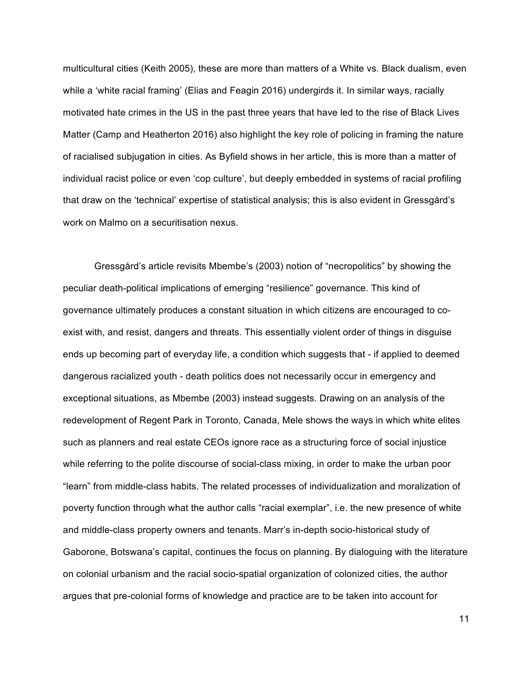multicultural cities (Keith 2005), these are more than matters of a White vs. Black dualism, even while a 'white racial framing' (Elias and Feagin 2016) undergirds it. In similar ways, racially motivated hate crimes in the US in the past three years that have led to the rise of Black Lives Matter (Camp and Heatherton 2016) also highlight the key role of policing in framing the nature of racialised subjugation in cities. As Byfield shows in her article, this is more than a matter of individual racist police or even 'cop culture', but deeply embedded in systems of racial profiling that draw on the 'technical' expertise of statistical analysis; this is also evident in Gressgård's work on Malmo on a securitisation nexus.

Gressgård's article revisits Mbembe's (2003) notion of "necropolitics" by showing the peculiar death-political implications of emerging "resilience" governance. This kind of governance ultimately produces a constant situation in which citizens are encouraged to coexist with, and resist, dangers and threats. This essentially violent order of things in disguise ends up becoming part of everyday life, a condition which suggests that - if applied to deemed dangerous racialized youth - death politics does not necessarily occur in emergency and exceptional situations, as Mbembe (2003) instead suggests. Drawing on an analysis of the redevelopment of Regent Park in Toronto, Canada, Mele shows the ways in which white elites such as planners and real estate CEOs ignore race as a structuring force of social injustice while referring to the polite discourse of social-class mixing, in order to make the urban poor "learn" from middle-class habits. The related processes of individualization and moralization of poverty function through what the author calls "racial exemplar", i.e. the new presence of white and middle-class property owners and tenants. Marr's in-depth socio-historical study of Gaborone, Botswana's capital, continues the focus on planning. By dialoguing with the literature on colonial urbanism and the racial socio-spatial organization of colonized cities, the author argues that pre-colonial forms of knowledge and practice are to be taken into account for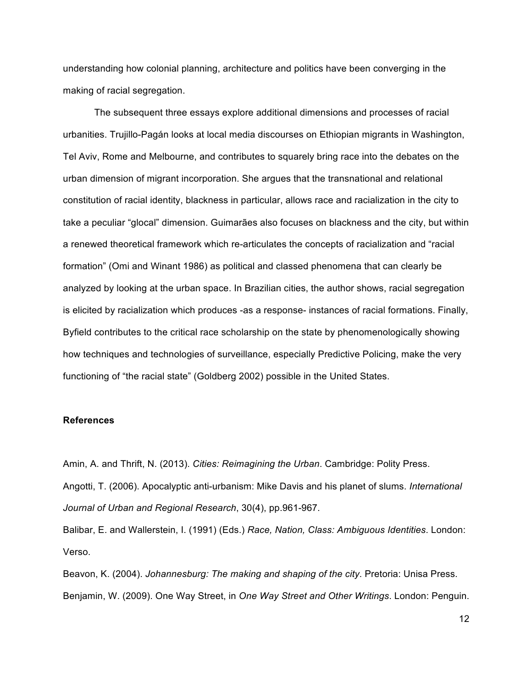understanding how colonial planning, architecture and politics have been converging in the making of racial segregation.

The subsequent three essays explore additional dimensions and processes of racial urbanities. Trujillo-Pagán looks at local media discourses on Ethiopian migrants in Washington, Tel Aviv, Rome and Melbourne, and contributes to squarely bring race into the debates on the urban dimension of migrant incorporation. She argues that the transnational and relational constitution of racial identity, blackness in particular, allows race and racialization in the city to take a peculiar "glocal" dimension. Guimarães also focuses on blackness and the city, but within a renewed theoretical framework which re-articulates the concepts of racialization and "racial formation" (Omi and Winant 1986) as political and classed phenomena that can clearly be analyzed by looking at the urban space. In Brazilian cities, the author shows, racial segregation is elicited by racialization which produces -as a response- instances of racial formations. Finally, Byfield contributes to the critical race scholarship on the state by phenomenologically showing how techniques and technologies of surveillance, especially Predictive Policing, make the very functioning of "the racial state" (Goldberg 2002) possible in the United States.

# **References**

Amin, A. and Thrift, N. (2013). *Cities: Reimagining the Urban*. Cambridge: Polity Press.

Angotti, T. (2006). Apocalyptic anti-urbanism: Mike Davis and his planet of slums. *International Journal of Urban and Regional Research*, 30(4), pp.961-967.

Balibar, E. and Wallerstein, I. (1991) (Eds.) *Race, Nation, Class: Ambiguous Identities*. London: Verso.

Beavon, K. (2004). *Johannesburg: The making and shaping of the city*. Pretoria: Unisa Press. Benjamin, W. (2009). One Way Street, in *One Way Street and Other Writings*. London: Penguin.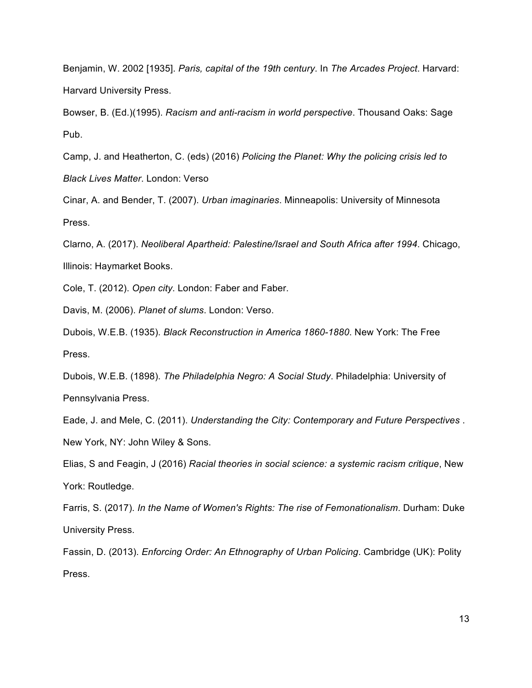Benjamin, W. 2002 [1935]. *Paris, capital of the 19th century*. In *The Arcades Project*. Harvard: Harvard University Press.

Bowser, B. (Ed.)(1995). *Racism and anti-racism in world perspective*. Thousand Oaks: Sage Pub.

Camp, J. and Heatherton, C. (eds) (2016) *Policing the Planet: Why the policing crisis led to Black Lives Matter*. London: Verso

Cinar, A. and Bender, T. (2007). *Urban imaginaries*. Minneapolis: University of Minnesota Press.

Clarno, A. (2017). *Neoliberal Apartheid: Palestine/Israel and South Africa after 1994*. Chicago, Illinois: Haymarket Books.

Cole, T. (2012). *Open city*. London: Faber and Faber.

Davis, M. (2006). *Planet of slums*. London: Verso.

Dubois, W.E.B. (1935). *Black Reconstruction in America 1860-1880*. New York: The Free Press.

Dubois, W.E.B. (1898). *The Philadelphia Negro: A Social Study*. Philadelphia: University of Pennsylvania Press.

Eade, J. and Mele, C. (2011). *Understanding the City: Contemporary and Future Perspectives* . New York, NY: John Wiley & Sons.

Elias, S and Feagin, J (2016) *Racial theories in social science: a systemic racism critique*, New York: Routledge.

Farris, S. (2017). *In the Name of Women's Rights: The rise of Femonationalism*. Durham: Duke University Press.

Fassin, D. (2013). *Enforcing Order: An Ethnography of Urban Policing*. Cambridge (UK): Polity Press.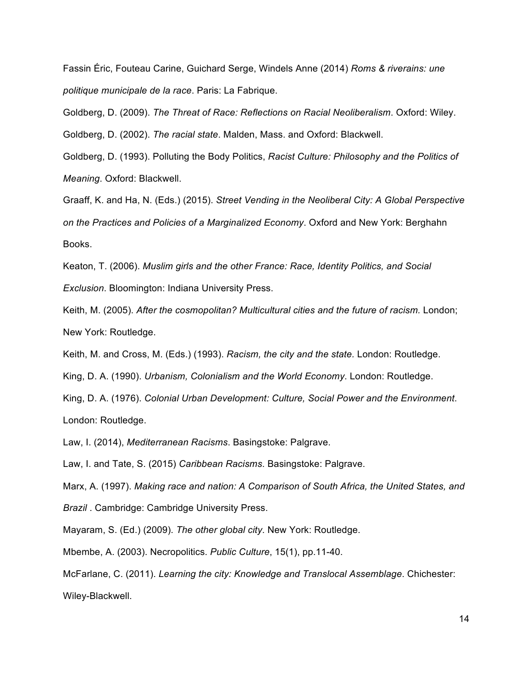Fassin Éric, Fouteau Carine, Guichard Serge, Windels Anne (2014) *Roms & riverains: une politique municipale de la race*. Paris: La Fabrique.

Goldberg, D. (2009). *The Threat of Race: Reflections on Racial Neoliberalism*. Oxford: Wiley. Goldberg, D. (2002). *The racial state*. Malden, Mass. and Oxford: Blackwell.

Goldberg, D. (1993). Polluting the Body Politics, *Racist Culture: Philosophy and the Politics of Meaning*. Oxford: Blackwell.

Graaff, K. and Ha, N. (Eds.) (2015). *Street Vending in the Neoliberal City: A Global Perspective on the Practices and Policies of a Marginalized Economy*. Oxford and New York: Berghahn Books.

Keaton, T. (2006). *Muslim girls and the other France: Race, Identity Politics, and Social Exclusion*. Bloomington: Indiana University Press.

Keith, M. (2005). *After the cosmopolitan? Multicultural cities and the future of racism.* London; New York: Routledge.

Keith, M. and Cross, M. (Eds.) (1993). *Racism, the city and the state.* London: Routledge.

King, D. A. (1990). *Urbanism, Colonialism and the World Economy*. London: Routledge.

King, D. A. (1976). *Colonial Urban Development: Culture, Social Power and the Environment*. London: Routledge.

Law, I. (2014), *Mediterranean Racisms*. Basingstoke: Palgrave.

Law, I. and Tate, S. (2015) *Caribbean Racisms*. Basingstoke: Palgrave.

Marx, A. (1997). *Making race and nation: A Comparison of South Africa, the United States, and* 

*Brazil* . Cambridge: Cambridge University Press.

Mayaram, S. (Ed.) (2009). *The other global city*. New York: Routledge.

Mbembe, A. (2003). Necropolitics. *Public Culture*, 15(1), pp.11-40.

McFarlane, C. (2011). *Learning the city: Knowledge and Translocal Assemblage*. Chichester: Wiley-Blackwell.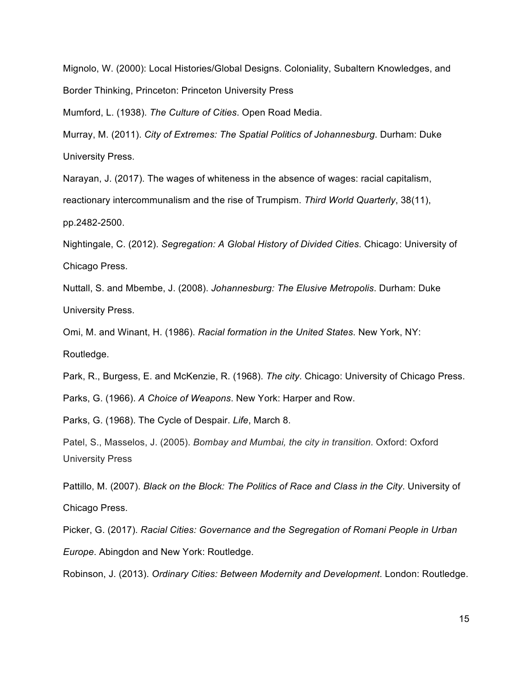Mignolo, W. (2000): Local Histories/Global Designs. Coloniality, Subaltern Knowledges, and Border Thinking, Princeton: Princeton University Press

Mumford, L. (1938). *The Culture of Cities*. Open Road Media.

Murray, M. (2011). *City of Extremes: The Spatial Politics of Johannesburg*. Durham: Duke University Press.

Narayan, J. (2017). The wages of whiteness in the absence of wages: racial capitalism, reactionary intercommunalism and the rise of Trumpism. *Third World Quarterly*, 38(11), pp.2482-2500.

Nightingale, C. (2012). *Segregation: A Global History of Divided Cities*. Chicago: University of Chicago Press.

Nuttall, S. and Mbembe, J. (2008). *Johannesburg: The Elusive Metropolis*. Durham: Duke University Press.

Omi, M. and Winant, H. (1986). *Racial formation in the United States*. New York, NY: Routledge.

Park, R., Burgess, E. and McKenzie, R. (1968). *The city*. Chicago: University of Chicago Press.

Parks, G. (1966). *A Choice of Weapons*. New York: Harper and Row.

Parks, G. (1968). The Cycle of Despair. *Life*, March 8.

Patel, S., Masselos, J. (2005). *Bombay and Mumbai, the city in transition*. Oxford: Oxford University Press

Pattillo, M. (2007). *Black on the Block: The Politics of Race and Class in the City*. University of Chicago Press.

Picker, G. (2017). *Racial Cities: Governance and the Segregation of Romani People in Urban Europe*. Abingdon and New York: Routledge.

Robinson, J. (2013). *Ordinary Cities: Between Modernity and Development*. London: Routledge.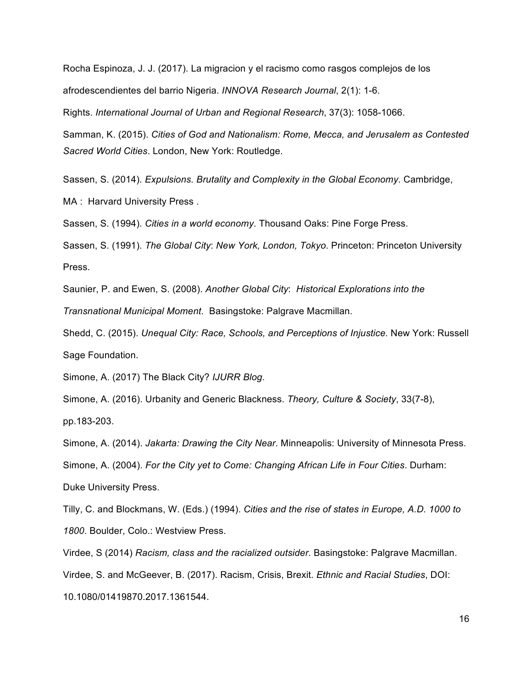Rocha Espinoza, J. J. (2017). La migracion y el racismo como rasgos complejos de los afrodescendientes del barrio Nigeria. *INNOVA Research Journal*, 2(1): 1-6.

Rights. *International Journal of Urban and Regional Research*, 37(3): 1058-1066.

Samman, K. (2015). *Cities of God and Nationalism: Rome, Mecca, and Jerusalem as Contested Sacred World Cities*. London, New York: Routledge.

Sassen, S. (2014). *Expulsions. Brutality and Complexity in the Global Economy*. Cambridge,

MA : Harvard University Press.

Sassen, S. (1994). *Cities in a world economy*. Thousand Oaks: Pine Forge Press.

Sassen, S. (1991). *The Global City*: *New York, London, Tokyo*. Princeton: Princeton University Press.

Saunier, P. and Ewen, S. (2008). *Another Global City*: *Historical Explorations into the* 

*Transnational Municipal Moment*. Basingstoke: Palgrave Macmillan.

Shedd, C. (2015). *Unequal City: Race, Schools, and Perceptions of Injustice.* New York: Russell Sage Foundation.

Simone, A. (2017) The Black City? *IJURR Blog*.

Simone, A. (2016). Urbanity and Generic Blackness. *Theory, Culture & Society*, 33(7-8), pp.183-203.

Simone, A. (2014). *Jakarta: Drawing the City Near*. Minneapolis: University of Minnesota Press. Simone, A. (2004). *For the City yet to Come: Changing African Life in Four Cities*. Durham: Duke University Press.

Tilly, C. and Blockmans, W. (Eds.) (1994). *Cities and the rise of states in Europe, A.D. 1000 to 1800*. Boulder, Colo.: Westview Press.

Virdee, S (2014) *Racism, class and the racialized outsider*. Basingstoke: Palgrave Macmillan. Virdee, S. and McGeever, B. (2017). Racism, Crisis, Brexit. *Ethnic and Racial Studies*, DOI: 10.1080/01419870.2017.1361544.